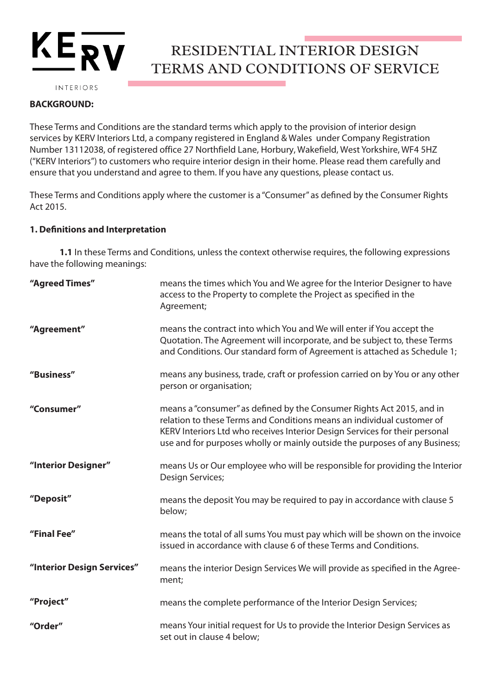# $KE^2$

## RESIDENTIAL INTERIOR DESIGN TERMS AND CONDITIONS OF SERVICE

INTERIORS

## **BACKGROUND:**

These Terms and Conditions are the standard terms which apply to the provision of interior design services by KERV Interiors Ltd, a company registered in England & Wales under Company Registration Number 13112038, of registered office 27 Northfield Lane, Horbury, Wakefield, West Yorkshire, WF4 5HZ ("KERV Interiors") to customers who require interior design in their home. Please read them carefully and ensure that you understand and agree to them. If you have any questions, please contact us.

These Terms and Conditions apply where the customer is a "Consumer" as defined by the Consumer Rights Act 2015.

## **1. Definitions and Interpretation**

**1.1** In these Terms and Conditions, unless the context otherwise requires, the following expressions have the following meanings:

| "Agreed Times"             | means the times which You and We agree for the Interior Designer to have<br>access to the Property to complete the Project as specified in the<br>Agreement;                                                                                                                                                  |
|----------------------------|---------------------------------------------------------------------------------------------------------------------------------------------------------------------------------------------------------------------------------------------------------------------------------------------------------------|
| "Agreement"                | means the contract into which You and We will enter if You accept the<br>Quotation. The Agreement will incorporate, and be subject to, these Terms<br>and Conditions. Our standard form of Agreement is attached as Schedule 1;                                                                               |
| "Business"                 | means any business, trade, craft or profession carried on by You or any other<br>person or organisation;                                                                                                                                                                                                      |
| "Consumer"                 | means a "consumer" as defined by the Consumer Rights Act 2015, and in<br>relation to these Terms and Conditions means an individual customer of<br>KERV Interiors Ltd who receives Interior Design Services for their personal<br>use and for purposes wholly or mainly outside the purposes of any Business; |
| "Interior Designer"        | means Us or Our employee who will be responsible for providing the Interior<br>Design Services;                                                                                                                                                                                                               |
| "Deposit"                  | means the deposit You may be required to pay in accordance with clause 5<br>below;                                                                                                                                                                                                                            |
| "Final Fee"                | means the total of all sums You must pay which will be shown on the invoice<br>issued in accordance with clause 6 of these Terms and Conditions.                                                                                                                                                              |
| "Interior Design Services" | means the interior Design Services We will provide as specified in the Agree-<br>ment;                                                                                                                                                                                                                        |
| "Project"                  | means the complete performance of the Interior Design Services;                                                                                                                                                                                                                                               |
| "Order"                    | means Your initial request for Us to provide the Interior Design Services as<br>set out in clause 4 below;                                                                                                                                                                                                    |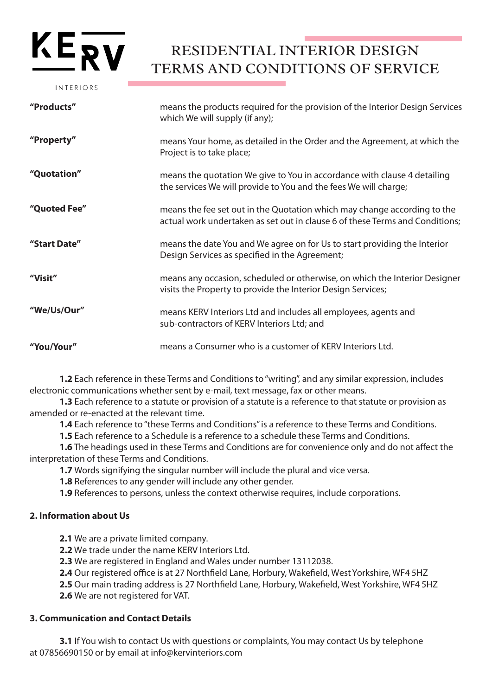# $KE_{\bf RV}$

INTERIORS

## RESIDENTIAL INTERIOR DESIGN TERMS AND CONDITIONS OF SERVICE

| "Products"   | means the products required for the provision of the Interior Design Services<br>which We will supply (if any);                                          |
|--------------|----------------------------------------------------------------------------------------------------------------------------------------------------------|
| "Property"   | means Your home, as detailed in the Order and the Agreement, at which the<br>Project is to take place;                                                   |
| "Quotation"  | means the quotation We give to You in accordance with clause 4 detailing<br>the services We will provide to You and the fees We will charge;             |
| "Quoted Fee" | means the fee set out in the Quotation which may change according to the<br>actual work undertaken as set out in clause 6 of these Terms and Conditions; |
| "Start Date" | means the date You and We agree on for Us to start providing the Interior<br>Design Services as specified in the Agreement;                              |
| "Visit"      | means any occasion, scheduled or otherwise, on which the Interior Designer<br>visits the Property to provide the Interior Design Services;               |
| "We/Us/Our"  | means KERV Interiors Ltd and includes all employees, agents and<br>sub-contractors of KERV Interiors Ltd; and                                            |
| "You/Your"   | means a Consumer who is a customer of KERV Interiors Ltd.                                                                                                |

**1.2** Each reference in these Terms and Conditions to "writing", and any similar expression, includes electronic communications whether sent by e-mail, text message, fax or other means.

**1.3** Each reference to a statute or provision of a statute is a reference to that statute or provision as amended or re-enacted at the relevant time.

**1.4** Each reference to "these Terms and Conditions" is a reference to these Terms and Conditions.

**1.5** Each reference to a Schedule is a reference to a schedule these Terms and Conditions.

**1.6** The headings used in these Terms and Conditions are for convenience only and do not affect the interpretation of these Terms and Conditions.

**1.7** Words signifying the singular number will include the plural and vice versa.

**1.8** References to any gender will include any other gender.

**1.9** References to persons, unless the context otherwise requires, include corporations.

## **2. Information about Us**

**2.1** We are a private limited company.

**2.2** We trade under the name KERV Interiors Ltd.

**2.3** We are registered in England and Wales under number 13112038.

**2.4** Our registered office is at 27 Northfield Lane, Horbury, Wakefield, West Yorkshire, WF4 5HZ

**2.5** Our main trading address is 27 Northfield Lane, Horbury, Wakefield, West Yorkshire, WF4 5HZ

**2.6** We are not registered for VAT.

## **3. Communication and Contact Details**

**3.1** If You wish to contact Us with questions or complaints, You may contact Us by telephone at 07856690150 or by email at info@kervinteriors.com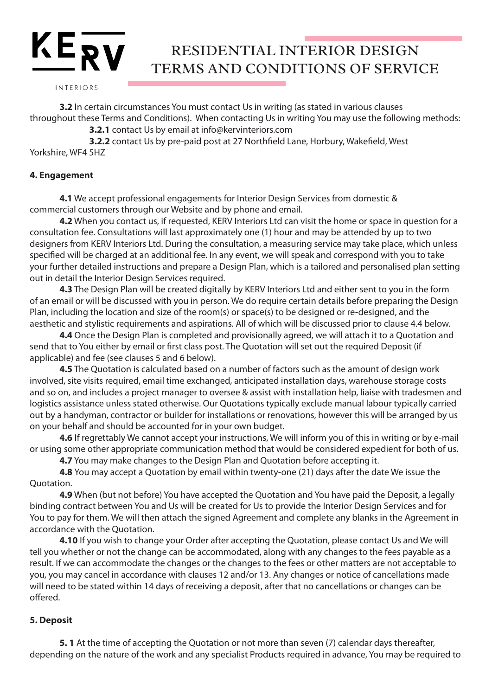INTERIORS

 $KE_{\overline{RV}}$ 

**3.2** In certain circumstances You must contact Us in writing (as stated in various clauses throughout these Terms and Conditions). When contacting Us in writing You may use the following methods:

**3.2.1** contact Us by email at info@kervinteriors.com

**3.2.2** contact Us by pre-paid post at 27 Northfield Lane, Horbury, Wakefield, West Yorkshire, WF4 5HZ

## **4. Engagement**

**4.1** We accept professional engagements for Interior Design Services from domestic & commercial customers through our Website and by phone and email.

**4.2** When you contact us, if requested, KERV Interiors Ltd can visit the home or space in question for a consultation fee. Consultations will last approximately one (1) hour and may be attended by up to two designers from KERV Interiors Ltd. During the consultation, a measuring service may take place, which unless specified will be charged at an additional fee. In any event, we will speak and correspond with you to take your further detailed instructions and prepare a Design Plan, which is a tailored and personalised plan setting out in detail the Interior Design Services required.

**4.3** The Design Plan will be created digitally by KERV Interiors Ltd and either sent to you in the form of an email or will be discussed with you in person. We do require certain details before preparing the Design Plan, including the location and size of the room(s) or space(s) to be designed or re-designed, and the aesthetic and stylistic requirements and aspirations. All of which will be discussed prior to clause 4.4 below.

**4.4** Once the Design Plan is completed and provisionally agreed, we will attach it to a Quotation and send that to You either by email or first class post. The Quotation will set out the required Deposit (if applicable) and fee (see clauses 5 and 6 below).

**4.5** The Quotation is calculated based on a number of factors such as the amount of design work involved, site visits required, email time exchanged, anticipated installation days, warehouse storage costs and so on, and includes a project manager to oversee & assist with installation help, liaise with tradesmen and logistics assistance unless stated otherwise. Our Quotations typically exclude manual labour typically carried out by a handyman, contractor or builder for installations or renovations, however this will be arranged by us on your behalf and should be accounted for in your own budget.

**4.6** If regrettably We cannot accept your instructions, We will inform you of this in writing or by e-mail or using some other appropriate communication method that would be considered expedient for both of us.

**4.7** You may make changes to the Design Plan and Quotation before accepting it.

**4.8** You may accept a Quotation by email within twenty-one (21) days after the date We issue the Quotation.

**4.9** When (but not before) You have accepted the Quotation and You have paid the Deposit, a legally binding contract between You and Us will be created for Us to provide the Interior Design Services and for You to pay for them. We will then attach the signed Agreement and complete any blanks in the Agreement in accordance with the Quotation.

**4.10** If you wish to change your Order after accepting the Quotation, please contact Us and We will tell you whether or not the change can be accommodated, along with any changes to the fees payable as a result. If we can accommodate the changes or the changes to the fees or other matters are not acceptable to you, you may cancel in accordance with clauses 12 and/or 13. Any changes or notice of cancellations made will need to be stated within 14 days of receiving a deposit, after that no cancellations or changes can be offered.

## **5. Deposit**

**5. 1** At the time of accepting the Quotation or not more than seven (7) calendar days thereafter, depending on the nature of the work and any specialist Products required in advance, You may be required to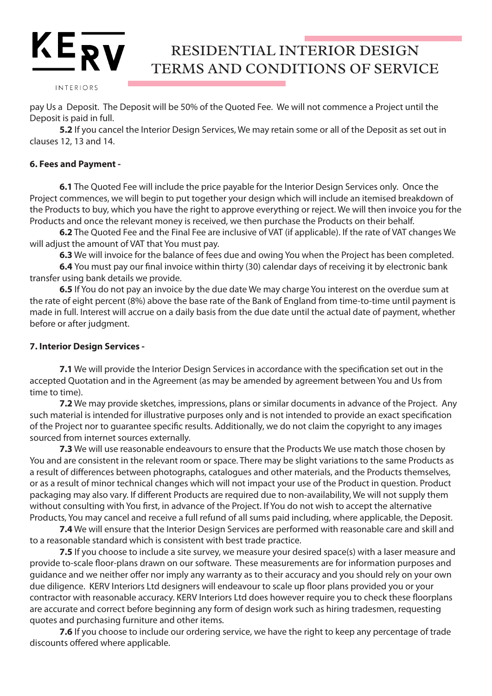INTERIORS

 $KE_{\overline{RV}}$ 

pay Us a Deposit. The Deposit will be 50% of the Quoted Fee. We will not commence a Project until the Deposit is paid in full.

**5.2** If you cancel the Interior Design Services, We may retain some or all of the Deposit as set out in clauses 12, 13 and 14.

#### **6. Fees and Payment -**

**6.1** The Quoted Fee will include the price payable for the Interior Design Services only. Once the Project commences, we will begin to put together your design which will include an itemised breakdown of the Products to buy, which you have the right to approve everything or reject. We will then invoice you for the Products and once the relevant money is received, we then purchase the Products on their behalf.

**6.2** The Quoted Fee and the Final Fee are inclusive of VAT (if applicable). If the rate of VAT changes We will adjust the amount of VAT that You must pay.

**6.3** We will invoice for the balance of fees due and owing You when the Project has been completed.

**6.4** You must pay our final invoice within thirty (30) calendar days of receiving it by electronic bank transfer using bank details we provide.

**6.5** If You do not pay an invoice by the due date We may charge You interest on the overdue sum at the rate of eight percent (8%) above the base rate of the Bank of England from time-to-time until payment is made in full. Interest will accrue on a daily basis from the due date until the actual date of payment, whether before or after judgment.

#### **7. Interior Design Services -**

**7.1** We will provide the Interior Design Services in accordance with the specification set out in the accepted Quotation and in the Agreement (as may be amended by agreement between You and Us from time to time).

**7.2** We may provide sketches, impressions, plans or similar documents in advance of the Project. Any such material is intended for illustrative purposes only and is not intended to provide an exact specification of the Project nor to guarantee specific results. Additionally, we do not claim the copyright to any images sourced from internet sources externally.

**7.3** We will use reasonable endeavours to ensure that the Products We use match those chosen by You and are consistent in the relevant room or space. There may be slight variations to the same Products as a result of differences between photographs, catalogues and other materials, and the Products themselves, or as a result of minor technical changes which will not impact your use of the Product in question. Product packaging may also vary. If different Products are required due to non-availability, We will not supply them without consulting with You first, in advance of the Project. If You do not wish to accept the alternative Products, You may cancel and receive a full refund of all sums paid including, where applicable, the Deposit.

**7.4** We will ensure that the Interior Design Services are performed with reasonable care and skill and to a reasonable standard which is consistent with best trade practice.

**7.5** If you choose to include a site survey, we measure your desired space(s) with a laser measure and provide to-scale floor-plans drawn on our software. These measurements are for information purposes and guidance and we neither offer nor imply any warranty as to their accuracy and you should rely on your own due diligence. KERV Interiors Ltd designers will endeavour to scale up floor plans provided you or your contractor with reasonable accuracy. KERV Interiors Ltd does however require you to check these floorplans are accurate and correct before beginning any form of design work such as hiring tradesmen, requesting quotes and purchasing furniture and other items.

**7.6** If you choose to include our ordering service, we have the right to keep any percentage of trade discounts offered where applicable.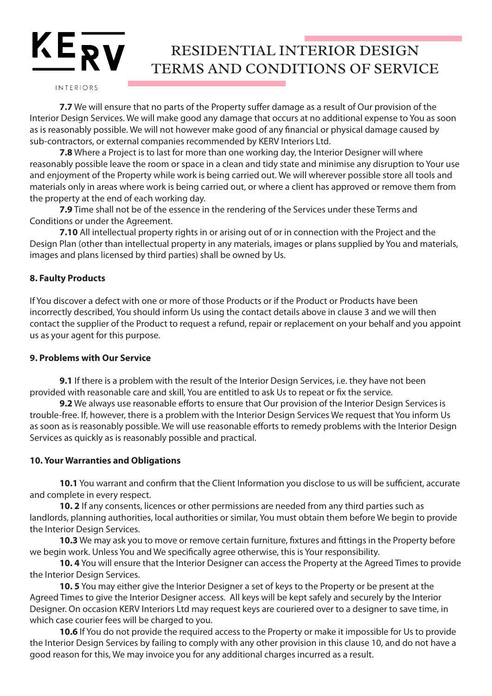#### INTERIORS

**7.7** We will ensure that no parts of the Property suffer damage as a result of Our provision of the Interior Design Services. We will make good any damage that occurs at no additional expense to You as soon as is reasonably possible. We will not however make good of any financial or physical damage caused by sub-contractors, or external companies recommended by KERV Interiors Ltd.

**7.8** Where a Project is to last for more than one working day, the Interior Designer will where reasonably possible leave the room or space in a clean and tidy state and minimise any disruption to Your use and enjoyment of the Property while work is being carried out. We will wherever possible store all tools and materials only in areas where work is being carried out, or where a client has approved or remove them from the property at the end of each working day.

**7.9** Time shall not be of the essence in the rendering of the Services under these Terms and Conditions or under the Agreement.

**7.10** All intellectual property rights in or arising out of or in connection with the Project and the Design Plan (other than intellectual property in any materials, images or plans supplied by You and materials, images and plans licensed by third parties) shall be owned by Us.

#### **8. Faulty Products**

If You discover a defect with one or more of those Products or if the Product or Products have been incorrectly described, You should inform Us using the contact details above in clause 3 and we will then contact the supplier of the Product to request a refund, repair or replacement on your behalf and you appoint us as your agent for this purpose.

#### **9. Problems with Our Service**

**9.1** If there is a problem with the result of the Interior Design Services, i.e. they have not been provided with reasonable care and skill, You are entitled to ask Us to repeat or fix the service.

**9.2** We always use reasonable efforts to ensure that Our provision of the Interior Design Services is trouble-free. If, however, there is a problem with the Interior Design Services We request that You inform Us as soon as is reasonably possible. We will use reasonable efforts to remedy problems with the Interior Design Services as quickly as is reasonably possible and practical.

#### **10. Your Warranties and Obligations**

**10.1** You warrant and confirm that the Client Information you disclose to us will be sufficient, accurate and complete in every respect.

**10. 2** If any consents, licences or other permissions are needed from any third parties such as landlords, planning authorities, local authorities or similar, You must obtain them before We begin to provide the Interior Design Services.

**10.3** We may ask you to move or remove certain furniture, fixtures and fittings in the Property before we begin work. Unless You and We specifically agree otherwise, this is Your responsibility.

**10. 4** You will ensure that the Interior Designer can access the Property at the Agreed Times to provide the Interior Design Services.

**10. 5** You may either give the Interior Designer a set of keys to the Property or be present at the Agreed Times to give the Interior Designer access. All keys will be kept safely and securely by the Interior Designer. On occasion KERV Interiors Ltd may request keys are couriered over to a designer to save time, in which case courier fees will be charged to you.

**10.6** If You do not provide the required access to the Property or make it impossible for Us to provide the Interior Design Services by failing to comply with any other provision in this clause 10, and do not have a good reason for this, We may invoice you for any additional charges incurred as a result.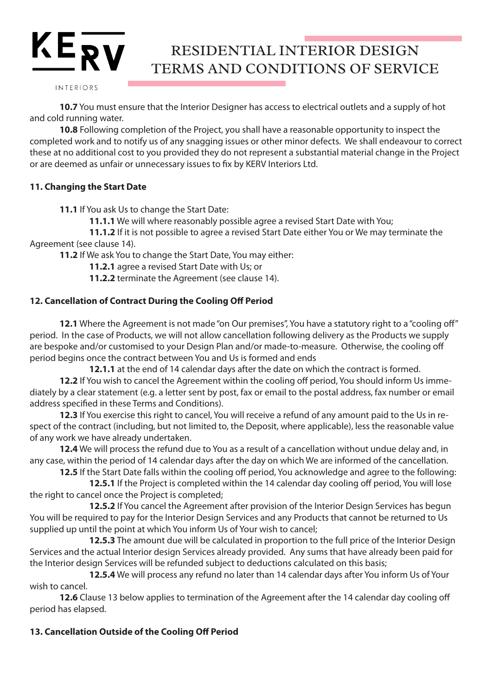INTERIORS

 $KE_{\overline{RV}}$ 

**10.7** You must ensure that the Interior Designer has access to electrical outlets and a supply of hot and cold running water.

**10.8** Following completion of the Project, you shall have a reasonable opportunity to inspect the completed work and to notify us of any snagging issues or other minor defects. We shall endeavour to correct these at no additional cost to you provided they do not represent a substantial material change in the Project or are deemed as unfair or unnecessary issues to fix by KERV Interiors Ltd.

## **11. Changing the Start Date**

**11.1** If You ask Us to change the Start Date:

**11.1.1** We will where reasonably possible agree a revised Start Date with You;

**11.1.2** If it is not possible to agree a revised Start Date either You or We may terminate the Agreement (see clause 14).

**11.2** If We ask You to change the Start Date, You may either:

**11.2.1** agree a revised Start Date with Us; or

**11.2.2** terminate the Agreement (see clause 14).

## **12. Cancellation of Contract During the Cooling Off Period**

**12.1** Where the Agreement is not made "on Our premises", You have a statutory right to a "cooling off" period. In the case of Products, we will not allow cancellation following delivery as the Products we supply are bespoke and/or customised to your Design Plan and/or made-to-measure. Otherwise, the cooling off period begins once the contract between You and Us is formed and ends

**12.1.1** at the end of 14 calendar days after the date on which the contract is formed.

**12.2** If You wish to cancel the Agreement within the cooling off period, You should inform Us immediately by a clear statement (e.g. a letter sent by post, fax or email to the postal address, fax number or email address specified in these Terms and Conditions).

**12.3** If You exercise this right to cancel, You will receive a refund of any amount paid to the Us in respect of the contract (including, but not limited to, the Deposit, where applicable), less the reasonable value of any work we have already undertaken.

**12.4** We will process the refund due to You as a result of a cancellation without undue delay and, in any case, within the period of 14 calendar days after the day on which We are informed of the cancellation.

**12.5** If the Start Date falls within the cooling off period, You acknowledge and agree to the following:

**12.5.1** If the Project is completed within the 14 calendar day cooling off period, You will lose the right to cancel once the Project is completed;

**12.5.2** If You cancel the Agreement after provision of the Interior Design Services has begun You will be required to pay for the Interior Design Services and any Products that cannot be returned to Us supplied up until the point at which You inform Us of Your wish to cancel;

**12.5.3** The amount due will be calculated in proportion to the full price of the Interior Design Services and the actual Interior design Services already provided. Any sums that have already been paid for the Interior design Services will be refunded subject to deductions calculated on this basis;

**12.5.4** We will process any refund no later than 14 calendar days after You inform Us of Your wish to cancel.

**12.6** Clause 13 below applies to termination of the Agreement after the 14 calendar day cooling off period has elapsed.

## **13. Cancellation Outside of the Cooling Off Period**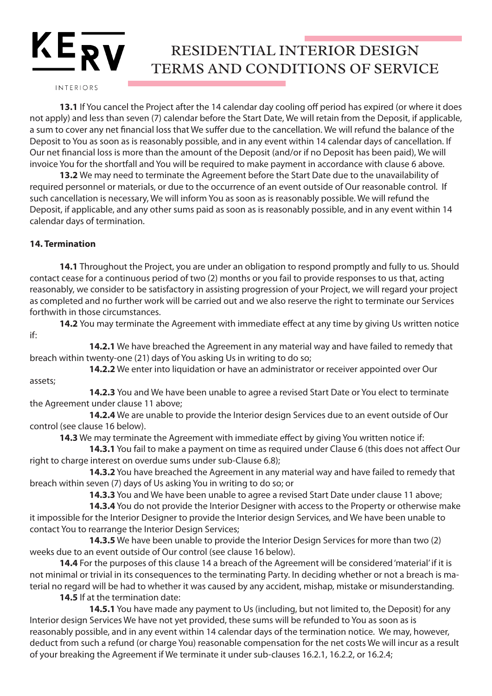## $KE_{\overline{RV}}$ RESIDENTIAL INTERIOR DESIGN TERMS AND CONDITIONS OF SERVICE

INTERIORS

**13.1** If You cancel the Project after the 14 calendar day cooling off period has expired (or where it does not apply) and less than seven (7) calendar before the Start Date, We will retain from the Deposit, if applicable, a sum to cover any net financial loss that We suffer due to the cancellation. We will refund the balance of the Deposit to You as soon as is reasonably possible, and in any event within 14 calendar days of cancellation. If Our net financial loss is more than the amount of the Deposit (and/or if no Deposit has been paid), We will invoice You for the shortfall and You will be required to make payment in accordance with clause 6 above.

**13.2** We may need to terminate the Agreement before the Start Date due to the unavailability of required personnel or materials, or due to the occurrence of an event outside of Our reasonable control. If such cancellation is necessary, We will inform You as soon as is reasonably possible. We will refund the Deposit, if applicable, and any other sums paid as soon as is reasonably possible, and in any event within 14 calendar days of termination.

## **14. Termination**

**14.1** Throughout the Project, you are under an obligation to respond promptly and fully to us. Should contact cease for a continuous period of two (2) months or you fail to provide responses to us that, acting reasonably, we consider to be satisfactory in assisting progression of your Project, we will regard your project as completed and no further work will be carried out and we also reserve the right to terminate our Services forthwith in those circumstances.

**14.2** You may terminate the Agreement with immediate effect at any time by giving Us written notice if:

**14.2.1** We have breached the Agreement in any material way and have failed to remedy that breach within twenty-one (21) days of You asking Us in writing to do so;

**14.2.2** We enter into liquidation or have an administrator or receiver appointed over Our assets;

**14.2.3** You and We have been unable to agree a revised Start Date or You elect to terminate the Agreement under clause 11 above;

**14.2.4** We are unable to provide the Interior design Services due to an event outside of Our control (see clause 16 below).

**14.3** We may terminate the Agreement with immediate effect by giving You written notice if:

**14.3.1** You fail to make a payment on time as required under Clause 6 (this does not affect Our right to charge interest on overdue sums under sub-Clause 6.8);

**14.3.2** You have breached the Agreement in any material way and have failed to remedy that breach within seven (7) days of Us asking You in writing to do so; or

**14.3.3** You and We have been unable to agree a revised Start Date under clause 11 above;

**14.3.4** You do not provide the Interior Designer with access to the Property or otherwise make it impossible for the Interior Designer to provide the Interior design Services, and We have been unable to contact You to rearrange the Interior Design Services;

**14.3.5** We have been unable to provide the Interior Design Services for more than two (2) weeks due to an event outside of Our control (see clause 16 below).

**14.4** For the purposes of this clause 14 a breach of the Agreement will be considered 'material' if it is not minimal or trivial in its consequences to the terminating Party. In deciding whether or not a breach is material no regard will be had to whether it was caused by any accident, mishap, mistake or misunderstanding.

**14.5** If at the termination date:

**14.5.1** You have made any payment to Us (including, but not limited to, the Deposit) for any Interior design Services We have not yet provided, these sums will be refunded to You as soon as is reasonably possible, and in any event within 14 calendar days of the termination notice. We may, however, deduct from such a refund (or charge You) reasonable compensation for the net costs We will incur as a result of your breaking the Agreement if We terminate it under sub-clauses 16.2.1, 16.2.2, or 16.2.4;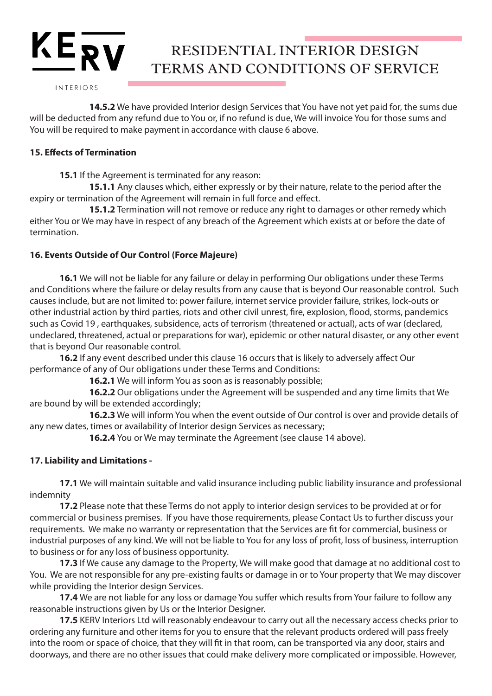INTERIORS

 $KE_{\overline{RV}}$ 

**14.5.2** We have provided Interior design Services that You have not yet paid for, the sums due will be deducted from any refund due to You or, if no refund is due, We will invoice You for those sums and You will be required to make payment in accordance with clause 6 above.

## **15. Effects of Termination**

**15.1** If the Agreement is terminated for any reason:

**15.1.1** Any clauses which, either expressly or by their nature, relate to the period after the expiry or termination of the Agreement will remain in full force and effect.

**15.1.2** Termination will not remove or reduce any right to damages or other remedy which either You or We may have in respect of any breach of the Agreement which exists at or before the date of termination.

#### **16. Events Outside of Our Control (Force Majeure)**

**16.1** We will not be liable for any failure or delay in performing Our obligations under these Terms and Conditions where the failure or delay results from any cause that is beyond Our reasonable control. Such causes include, but are not limited to: power failure, internet service provider failure, strikes, lock-outs or other industrial action by third parties, riots and other civil unrest, fire, explosion, flood, storms, pandemics such as Covid 19 , earthquakes, subsidence, acts of terrorism (threatened or actual), acts of war (declared, undeclared, threatened, actual or preparations for war), epidemic or other natural disaster, or any other event that is beyond Our reasonable control.

**16.2** If any event described under this clause 16 occurs that is likely to adversely affect Our performance of any of Our obligations under these Terms and Conditions:

**16.2.1** We will inform You as soon as is reasonably possible;

**16.2.2** Our obligations under the Agreement will be suspended and any time limits that We are bound by will be extended accordingly;

**16.2.3** We will inform You when the event outside of Our control is over and provide details of any new dates, times or availability of Interior design Services as necessary;

**16.2.4** You or We may terminate the Agreement (see clause 14 above).

## **17. Liability and Limitations -**

**17.1** We will maintain suitable and valid insurance including public liability insurance and professional indemnity

**17.2** Please note that these Terms do not apply to interior design services to be provided at or for commercial or business premises. If you have those requirements, please Contact Us to further discuss your requirements. We make no warranty or representation that the Services are fit for commercial, business or industrial purposes of any kind. We will not be liable to You for any loss of profit, loss of business, interruption to business or for any loss of business opportunity.

**17.3** If We cause any damage to the Property, We will make good that damage at no additional cost to You. We are not responsible for any pre-existing faults or damage in or to Your property that We may discover while providing the Interior design Services.

**17.4** We are not liable for any loss or damage You suffer which results from Your failure to follow any reasonable instructions given by Us or the Interior Designer.

**17.5** KERV Interiors Ltd will reasonably endeavour to carry out all the necessary access checks prior to ordering any furniture and other items for you to ensure that the relevant products ordered will pass freely into the room or space of choice, that they will fit in that room, can be transported via any door, stairs and doorways, and there are no other issues that could make delivery more complicated or impossible. However,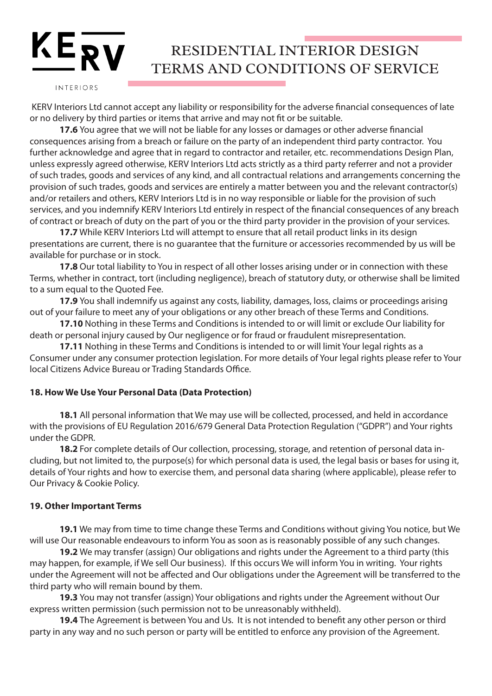## $KE_{\overline{RV}}$ RESIDENTIAL INTERIOR DESIGN TERMS AND CONDITIONS OF SERVICE

INTERIORS

 KERV Interiors Ltd cannot accept any liability or responsibility for the adverse financial consequences of late or no delivery by third parties or items that arrive and may not fit or be suitable.

**17.6** You agree that we will not be liable for any losses or damages or other adverse financial consequences arising from a breach or failure on the party of an independent third party contractor. You further acknowledge and agree that in regard to contractor and retailer, etc. recommendations Design Plan, unless expressly agreed otherwise, KERV Interiors Ltd acts strictly as a third party referrer and not a provider of such trades, goods and services of any kind, and all contractual relations and arrangements concerning the provision of such trades, goods and services are entirely a matter between you and the relevant contractor(s) and/or retailers and others, KERV Interiors Ltd is in no way responsible or liable for the provision of such services, and you indemnify KERV Interiors Ltd entirely in respect of the financial consequences of any breach of contract or breach of duty on the part of you or the third party provider in the provision of your services.

**17.7** While KERV Interiors Ltd will attempt to ensure that all retail product links in its design presentations are current, there is no guarantee that the furniture or accessories recommended by us will be available for purchase or in stock.

**17.8** Our total liability to You in respect of all other losses arising under or in connection with these Terms, whether in contract, tort (including negligence), breach of statutory duty, or otherwise shall be limited to a sum equal to the Quoted Fee.

**17.9** You shall indemnify us against any costs, liability, damages, loss, claims or proceedings arising out of your failure to meet any of your obligations or any other breach of these Terms and Conditions.

**17.10** Nothing in these Terms and Conditions is intended to or will limit or exclude Our liability for death or personal injury caused by Our negligence or for fraud or fraudulent misrepresentation.

**17.11** Nothing in these Terms and Conditions is intended to or will limit Your legal rights as a Consumer under any consumer protection legislation. For more details of Your legal rights please refer to Your local Citizens Advice Bureau or Trading Standards Office.

## **18. How We Use Your Personal Data (Data Protection)**

**18.1** All personal information that We may use will be collected, processed, and held in accordance with the provisions of EU Regulation 2016/679 General Data Protection Regulation ("GDPR") and Your rights under the GDPR.

**18.2** For complete details of Our collection, processing, storage, and retention of personal data including, but not limited to, the purpose(s) for which personal data is used, the legal basis or bases for using it, details of Your rights and how to exercise them, and personal data sharing (where applicable), please refer to Our Privacy & Cookie Policy.

#### **19. Other Important Terms**

**19.1** We may from time to time change these Terms and Conditions without giving You notice, but We will use Our reasonable endeavours to inform You as soon as is reasonably possible of any such changes.

**19.2** We may transfer (assign) Our obligations and rights under the Agreement to a third party (this may happen, for example, if We sell Our business). If this occurs We will inform You in writing. Your rights under the Agreement will not be affected and Our obligations under the Agreement will be transferred to the third party who will remain bound by them.

**19.3** You may not transfer (assign) Your obligations and rights under the Agreement without Our express written permission (such permission not to be unreasonably withheld).

**19.4** The Agreement is between You and Us. It is not intended to benefit any other person or third party in any way and no such person or party will be entitled to enforce any provision of the Agreement.